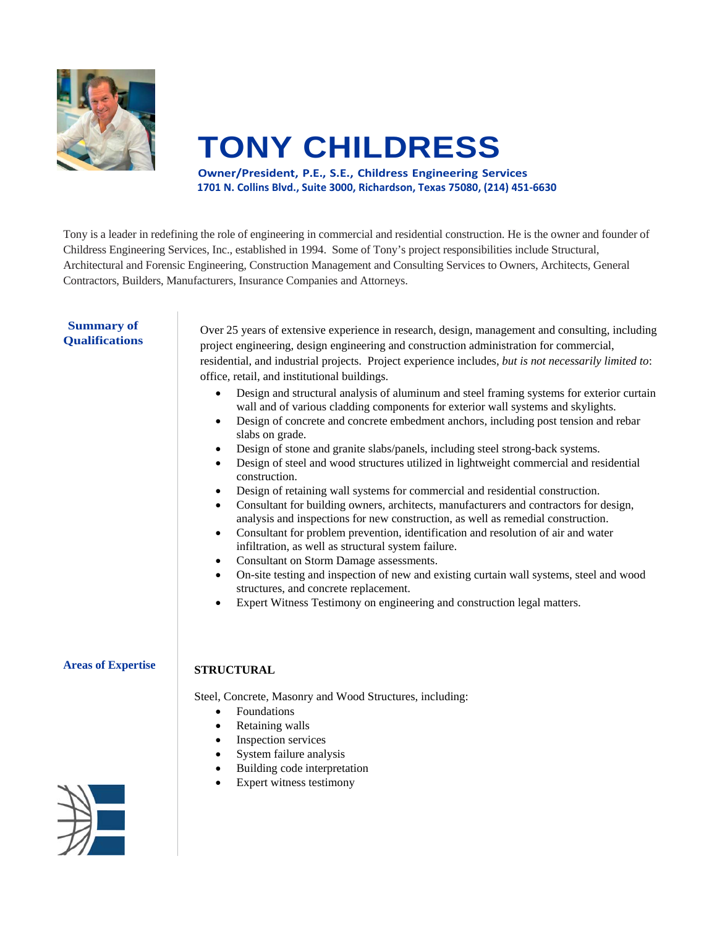

# **TONY CHILDRESS**

**Owner/President, P.E., S.E., Childress Engineering Services 1701 N. Collins Blvd., Suite 3000, Richardson, Texas 75080, (214) 451‐6630**

Tony is a leader in redefining the role of engineering in commercial and residential construction. He is the owner and founder of Childress Engineering Services, Inc., established in 1994. Some of Tony's project responsibilities include Structural, Architectural and Forensic Engineering, Construction Management and Consulting Services to Owners, Architects, General Contractors, Builders, Manufacturers, Insurance Companies and Attorneys.

# **Summary of Qualifications**

Over 25 years of extensive experience in research, design, management and consulting, including project engineering, design engineering and construction administration for commercial, residential, and industrial projects. Project experience includes, *but is not necessarily limited to*: office, retail, and institutional buildings.

- Design and structural analysis of aluminum and steel framing systems for exterior curtain wall and of various cladding components for exterior wall systems and skylights.
- Design of concrete and concrete embedment anchors, including post tension and rebar slabs on grade.
- Design of stone and granite slabs/panels, including steel strong-back systems.
- Design of steel and wood structures utilized in lightweight commercial and residential construction.
- Design of retaining wall systems for commercial and residential construction.
- Consultant for building owners, architects, manufacturers and contractors for design, analysis and inspections for new construction, as well as remedial construction.
- Consultant for problem prevention, identification and resolution of air and water infiltration, as well as structural system failure.
- Consultant on Storm Damage assessments.
- On-site testing and inspection of new and existing curtain wall systems, steel and wood structures, and concrete replacement.
- Expert Witness Testimony on engineering and construction legal matters.

# **Areas of Expertise**

# **STRUCTURAL**

Steel, Concrete, Masonry and Wood Structures, including:

- Foundations
- Retaining walls
- Inspection services
- System failure analysis
- Building code interpretation
- Expert witness testimony

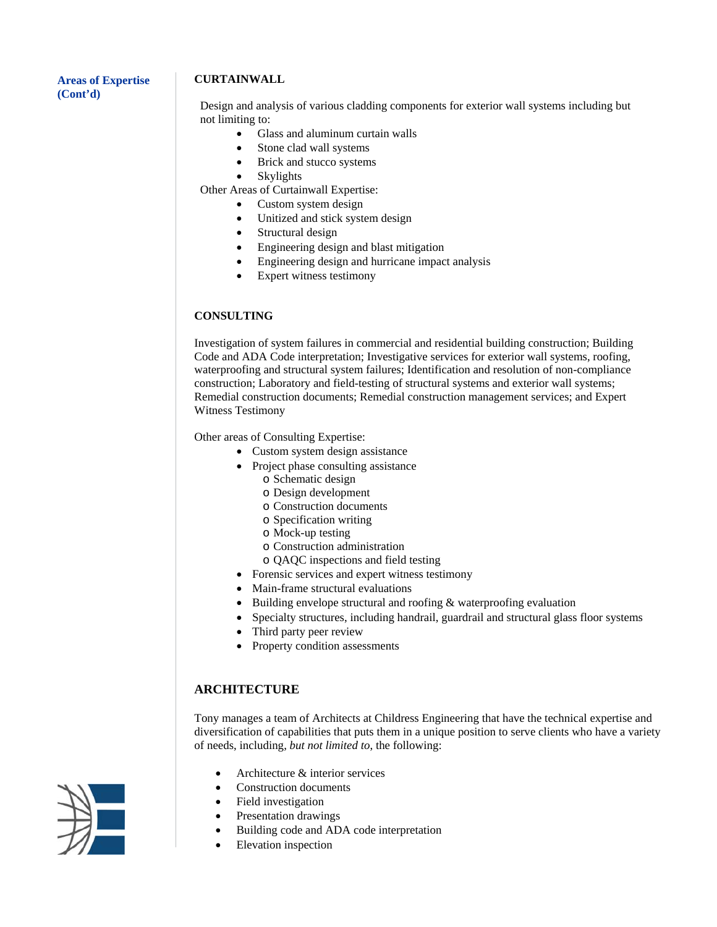#### **Areas of Expertise (Cont'd)**

# **CURTAINWALL**

Design and analysis of various cladding components for exterior wall systems including but not limiting to:

- Glass and aluminum curtain walls
- Stone clad wall systems
- Brick and stucco systems
- Skylights

Other Areas of Curtainwall Expertise:

- Custom system design
- Unitized and stick system design
- Structural design
- Engineering design and blast mitigation
- Engineering design and hurricane impact analysis
- Expert witness testimony

# **CONSULTING**

Investigation of system failures in commercial and residential building construction; Building Code and ADA Code interpretation; Investigative services for exterior wall systems, roofing, waterproofing and structural system failures; Identification and resolution of non-compliance construction; Laboratory and field-testing of structural systems and exterior wall systems; Remedial construction documents; Remedial construction management services; and Expert Witness Testimony

Other areas of Consulting Expertise:

- Custom system design assistance
- Project phase consulting assistance
	- o Schematic design
	- o Design development
	- o Construction documents
	- o Specification writing
	- o Mock-up testing
	- o Construction administration
	- o QAQC inspections and field testing
- Forensic services and expert witness testimony
- Main-frame structural evaluations
- Building envelope structural and roofing & waterproofing evaluation
- Specialty structures, including handrail, guardrail and structural glass floor systems
- Third party peer review
- Property condition assessments

# **ARCHITECTURE**

Tony manages a team of Architects at Childress Engineering that have the technical expertise and diversification of capabilities that puts them in a unique position to serve clients who have a variety of needs, including, *but not limited to*, the following:

- Architecture & interior services
- Construction documents
- Field investigation
- Presentation drawings
- Building code and ADA code interpretation
- Elevation inspection

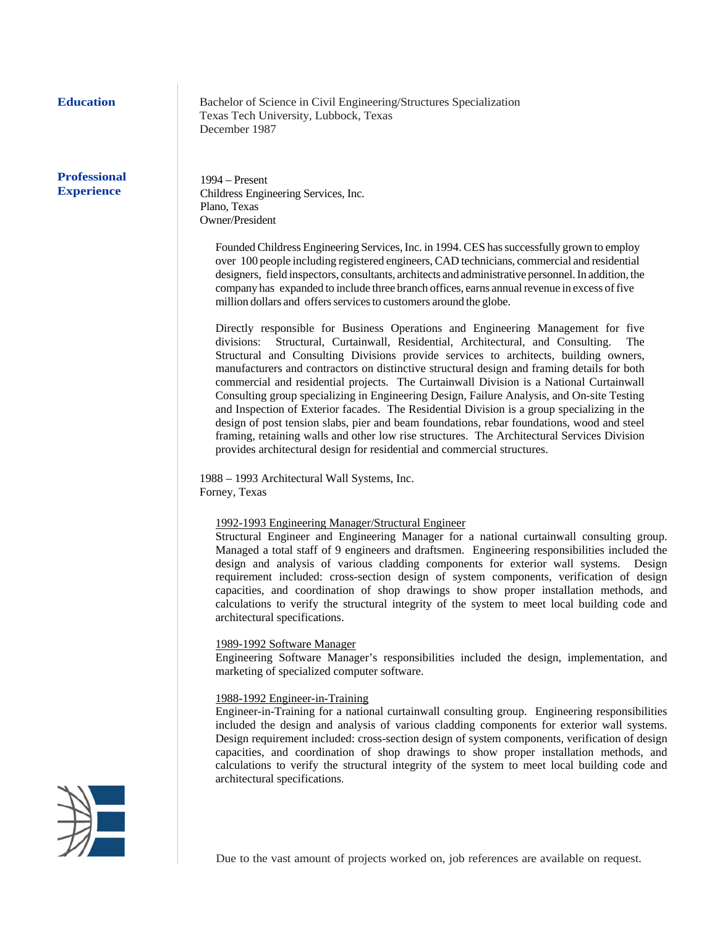the contract of the contract of the

## **Professional Experience**

**Education Bachelor of Science in Civil Engineering/Structures Specialization**  Texas Tech University, Lubbock, Texas December 1987

> 1994 – Present Childress Engineering Services, Inc. Plano, Texas Owner/President

Founded Childress Engineering Services, Inc. in 1994. CES has successfully grown to employ over 100 people including registered engineers, CAD technicians, commercial and residential designers, field inspectors, consultants, architects and administrative personnel. In addition, the company has expanded to include three branch offices, earns annual revenue in excess of five million dollars and offers services to customers around the globe.

Directly responsible for Business Operations and Engineering Management for five divisions: Structural, Curtainwall, Residential, Architectural, and Consulting. The Structural and Consulting Divisions provide services to architects, building owners, manufacturers and contractors on distinctive structural design and framing details for both commercial and residential projects. The Curtainwall Division is a National Curtainwall Consulting group specializing in Engineering Design, Failure Analysis, and On-site Testing and Inspection of Exterior facades. The Residential Division is a group specializing in the design of post tension slabs, pier and beam foundations, rebar foundations, wood and steel framing, retaining walls and other low rise structures. The Architectural Services Division provides architectural design for residential and commercial structures.

 1988 – 1993 Architectural Wall Systems, Inc. Forney, Texas

#### 1992-1993 Engineering Manager/Structural Engineer

Structural Engineer and Engineering Manager for a national curtainwall consulting group. Managed a total staff of 9 engineers and draftsmen. Engineering responsibilities included the design and analysis of various cladding components for exterior wall systems. Design requirement included: cross-section design of system components, verification of design capacities, and coordination of shop drawings to show proper installation methods, and calculations to verify the structural integrity of the system to meet local building code and architectural specifications.

#### 1989-1992 Software Manager

Engineering Software Manager's responsibilities included the design, implementation, and marketing of specialized computer software.

#### 1988-1992 Engineer-in-Training

Engineer-in-Training for a national curtainwall consulting group. Engineering responsibilities included the design and analysis of various cladding components for exterior wall systems. Design requirement included: cross-section design of system components, verification of design capacities, and coordination of shop drawings to show proper installation methods, and calculations to verify the structural integrity of the system to meet local building code and architectural specifications.



Due to the vast amount of projects worked on, job references are available on request.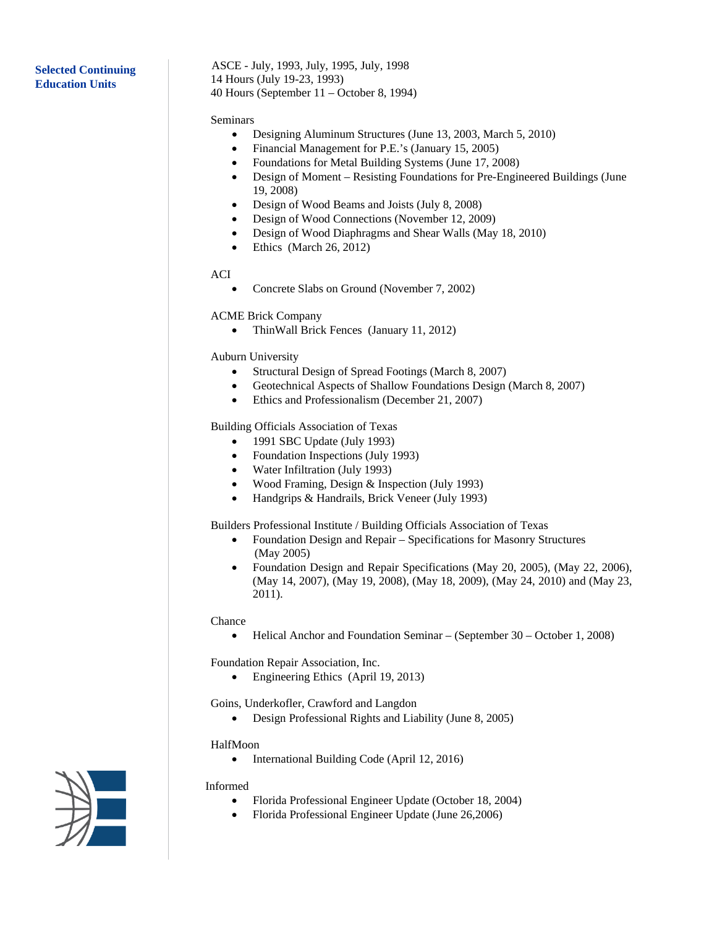# **Selected Continuing Education Units**

ASCE - July, 1993, July, 1995, July, 1998 14 Hours (July 19-23, 1993) 40 Hours (September 11 – October 8, 1994)

#### Seminars

- Designing Aluminum Structures (June 13, 2003, March 5, 2010)
- Financial Management for P.E.'s (January 15, 2005)
- Foundations for Metal Building Systems (June 17, 2008)
- Design of Moment Resisting Foundations for Pre-Engineered Buildings (June 19, 2008)
- Design of Wood Beams and Joists (July 8, 2008)
- Design of Wood Connections (November 12, 2009)
- Design of Wood Diaphragms and Shear Walls (May 18, 2010)
- $\bullet$  Ethics (March 26, 2012)

#### ACI

• Concrete Slabs on Ground (November 7, 2002)

#### ACME Brick Company

• ThinWall Brick Fences (January 11, 2012)

#### Auburn University

- Structural Design of Spread Footings (March 8, 2007)
- Geotechnical Aspects of Shallow Foundations Design (March 8, 2007)
- Ethics and Professionalism (December 21, 2007)

Building Officials Association of Texas

- 1991 SBC Update (July 1993)
- Foundation Inspections (July 1993)
- Water Infiltration (July 1993)
- Wood Framing, Design & Inspection (July 1993)
- Handgrips & Handrails, Brick Veneer (July 1993)

Builders Professional Institute / Building Officials Association of Texas

- Foundation Design and Repair Specifications for Masonry Structures (May 2005)
- Foundation Design and Repair Specifications (May 20, 2005), (May 22, 2006), (May 14, 2007), (May 19, 2008), (May 18, 2009), (May 24, 2010) and (May 23, 2011).

#### Chance

• Helical Anchor and Foundation Seminar – (September 30 – October 1, 2008)

Foundation Repair Association, Inc.

• Engineering Ethics (April 19, 2013)

Goins, Underkofler, Crawford and Langdon

• Design Professional Rights and Liability (June 8, 2005)

#### HalfMoon

• International Building Code (April 12, 2016)

#### Informed

- Florida Professional Engineer Update (October 18, 2004)
- Florida Professional Engineer Update (June 26,2006)

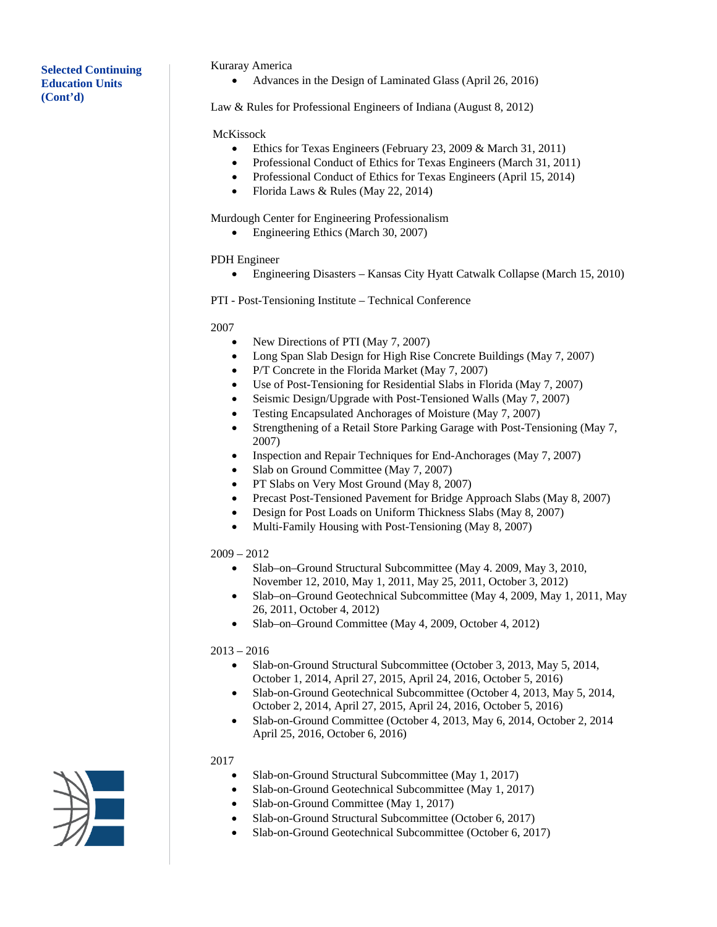# **Selected Continuing Education Units (Cont'd)**

#### Kuraray America

• Advances in the Design of Laminated Glass (April 26, 2016)

Law & Rules for Professional Engineers of Indiana (August 8, 2012)

#### McKissock

- Ethics for Texas Engineers (February 23, 2009 & March 31, 2011)
- Professional Conduct of Ethics for Texas Engineers (March 31, 2011)
- Professional Conduct of Ethics for Texas Engineers (April 15, 2014)
- Florida Laws & Rules (May 22, 2014)

#### Murdough Center for Engineering Professionalism

• Engineering Ethics (March 30, 2007)

#### PDH Engineer

- Engineering Disasters Kansas City Hyatt Catwalk Collapse (March 15, 2010)
- PTI Post-Tensioning Institute Technical Conference

#### 2007

- New Directions of PTI (May 7, 2007)
- Long Span Slab Design for High Rise Concrete Buildings (May 7, 2007)
- P/T Concrete in the Florida Market (May 7, 2007)
- Use of Post-Tensioning for Residential Slabs in Florida (May 7, 2007)
- Seismic Design/Upgrade with Post-Tensioned Walls (May 7, 2007)
- Testing Encapsulated Anchorages of Moisture (May 7, 2007)
- Strengthening of a Retail Store Parking Garage with Post-Tensioning (May 7, 2007)
- Inspection and Repair Techniques for End-Anchorages (May 7, 2007)
- Slab on Ground Committee (May 7, 2007)
- PT Slabs on Very Most Ground (May 8, 2007)
- Precast Post-Tensioned Pavement for Bridge Approach Slabs (May 8, 2007)
- Design for Post Loads on Uniform Thickness Slabs (May 8, 2007)
- Multi-Family Housing with Post-Tensioning (May 8, 2007)

# 2009 – 2012

- Slab–on–Ground Structural Subcommittee (May 4. 2009, May 3, 2010, November 12, 2010, May 1, 2011, May 25, 2011, October 3, 2012)
- Slab–on–Ground Geotechnical Subcommittee (May 4, 2009, May 1, 2011, May 26, 2011, October 4, 2012)
- Slab–on–Ground Committee (May 4, 2009, October 4, 2012)

#### 2013 – 2016

- Slab-on-Ground Structural Subcommittee (October 3, 2013, May 5, 2014, October 1, 2014, April 27, 2015, April 24, 2016, October 5, 2016)
- Slab-on-Ground Geotechnical Subcommittee (October 4, 2013, May 5, 2014, October 2, 2014, April 27, 2015, April 24, 2016, October 5, 2016)
- Slab-on-Ground Committee (October 4, 2013, May 6, 2014, October 2, 2014 April 25, 2016, October 6, 2016)

#### 2017

- Slab-on-Ground Structural Subcommittee (May 1, 2017)
- Slab-on-Ground Geotechnical Subcommittee (May 1, 2017)
- Slab-on-Ground Committee (May 1, 2017)
- Slab-on-Ground Structural Subcommittee (October 6, 2017)
- Slab-on-Ground Geotechnical Subcommittee (October 6, 2017)

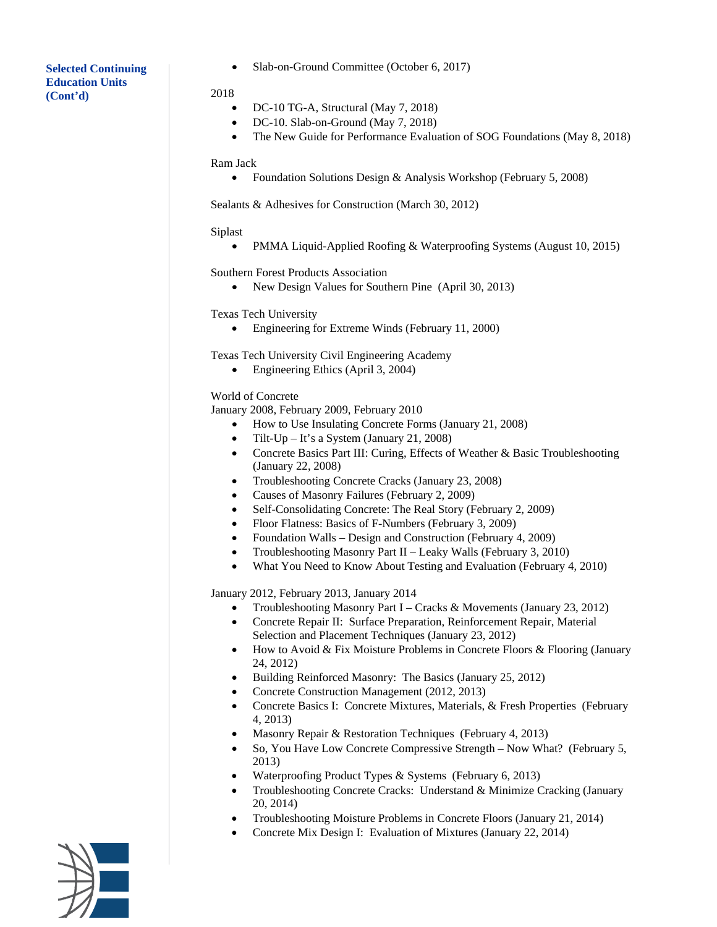# **Selected Continuing Education Units (Cont'd)**

• Slab-on-Ground Committee (October 6, 2017)

#### 2018

- DC-10 TG-A, Structural (May 7, 2018)
- DC-10. Slab-on-Ground (May 7, 2018)
- The New Guide for Performance Evaluation of SOG Foundations (May 8, 2018)

#### Ram Jack

• Foundation Solutions Design & Analysis Workshop (February 5, 2008)

Sealants & Adhesives for Construction (March 30, 2012)

## Siplast

• PMMA Liquid-Applied Roofing & Waterproofing Systems (August 10, 2015)

Southern Forest Products Association

• New Design Values for Southern Pine (April 30, 2013)

Texas Tech University

• Engineering for Extreme Winds (February 11, 2000)

Texas Tech University Civil Engineering Academy

• Engineering Ethics (April 3, 2004)

#### World of Concrete

January 2008, February 2009, February 2010

- How to Use Insulating Concrete Forms (January 21, 2008)
- Tilt-Up It's a System (January 21, 2008)
- Concrete Basics Part III: Curing, Effects of Weather & Basic Troubleshooting (January 22, 2008)
- Troubleshooting Concrete Cracks (January 23, 2008)
- Causes of Masonry Failures (February 2, 2009)
- Self-Consolidating Concrete: The Real Story (February 2, 2009)
- Floor Flatness: Basics of F-Numbers (February 3, 2009)
- Foundation Walls Design and Construction (February 4, 2009)
- Troubleshooting Masonry Part II Leaky Walls (February 3, 2010)
- What You Need to Know About Testing and Evaluation (February 4, 2010)

January 2012, February 2013, January 2014

- Troubleshooting Masonry Part I Cracks & Movements (January 23, 2012)
- Concrete Repair II: Surface Preparation, Reinforcement Repair, Material Selection and Placement Techniques (January 23, 2012)
- How to Avoid & Fix Moisture Problems in Concrete Floors & Flooring (January 24, 2012)
- Building Reinforced Masonry: The Basics (January 25, 2012)
- Concrete Construction Management (2012, 2013)
- Concrete Basics I: Concrete Mixtures, Materials, & Fresh Properties (February 4, 2013)
- Masonry Repair & Restoration Techniques (February 4, 2013)
- So, You Have Low Concrete Compressive Strength Now What? (February 5, 2013)
- Waterproofing Product Types & Systems (February 6, 2013)
- Troubleshooting Concrete Cracks: Understand & Minimize Cracking (January 20, 2014)
- Troubleshooting Moisture Problems in Concrete Floors (January 21, 2014)
- Concrete Mix Design I: Evaluation of Mixtures (January 22, 2014)

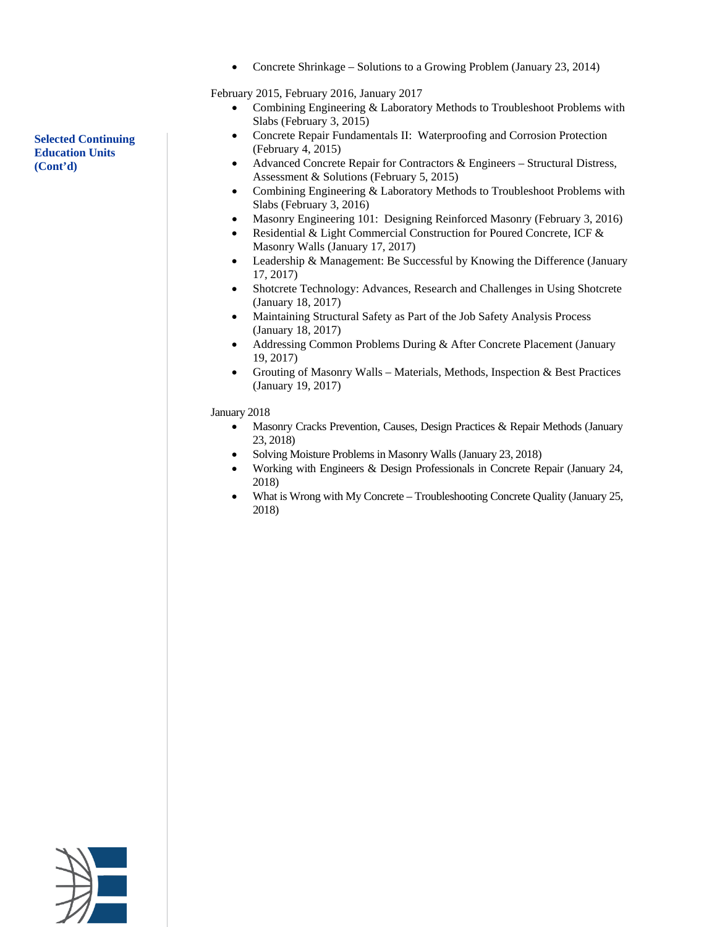• Concrete Shrinkage – Solutions to a Growing Problem (January 23, 2014)

February 2015, February 2016, January 2017

- Combining Engineering & Laboratory Methods to Troubleshoot Problems with Slabs (February 3, 2015)
- Concrete Repair Fundamentals II: Waterproofing and Corrosion Protection (February 4, 2015)
- Advanced Concrete Repair for Contractors & Engineers Structural Distress, Assessment & Solutions (February 5, 2015)
- Combining Engineering & Laboratory Methods to Troubleshoot Problems with Slabs (February 3, 2016)
- Masonry Engineering 101: Designing Reinforced Masonry (February 3, 2016)
- Residential & Light Commercial Construction for Poured Concrete, ICF & Masonry Walls (January 17, 2017)
- Leadership & Management: Be Successful by Knowing the Difference (January 17, 2017)
- Shotcrete Technology: Advances, Research and Challenges in Using Shotcrete (January 18, 2017)
- Maintaining Structural Safety as Part of the Job Safety Analysis Process (January 18, 2017)
- Addressing Common Problems During & After Concrete Placement (January 19, 2017)
- Grouting of Masonry Walls Materials, Methods, Inspection & Best Practices (January 19, 2017)

January 2018

- Masonry Cracks Prevention, Causes, Design Practices & Repair Methods (January 23, 2018)
- Solving Moisture Problems in Masonry Walls (January 23, 2018)
- Working with Engineers & Design Professionals in Concrete Repair (January 24, 2018)
- What is Wrong with My Concrete Troubleshooting Concrete Quality (January 25, 2018)



**Selected Continuing Education Units (Cont'd)**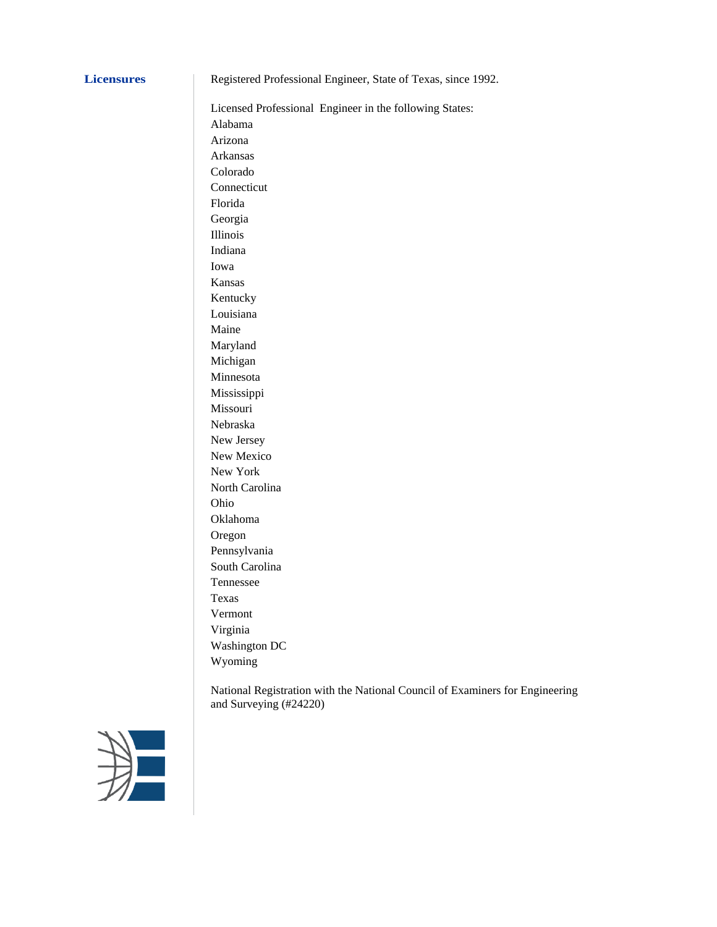**Licensures** Registered Professional Engineer, State of Texas, since 1992.

Licensed Professional Engineer in the following States: Alabama Arizona Arkansas Colorado Connecticut Florida Georgia Illinois Indiana Iowa Kansas Kentucky Louisiana Maine Maryland Michigan Minnesota Mississippi Missouri Nebraska New Jersey New Mexico New York North Carolina Ohio Oklahoma Oregon Pennsylvania South Carolina Tennessee Texas Vermont Virginia Washington DC Wyoming

National Registration with the National Council of Examiners for Engineering and Surveying (#24220)

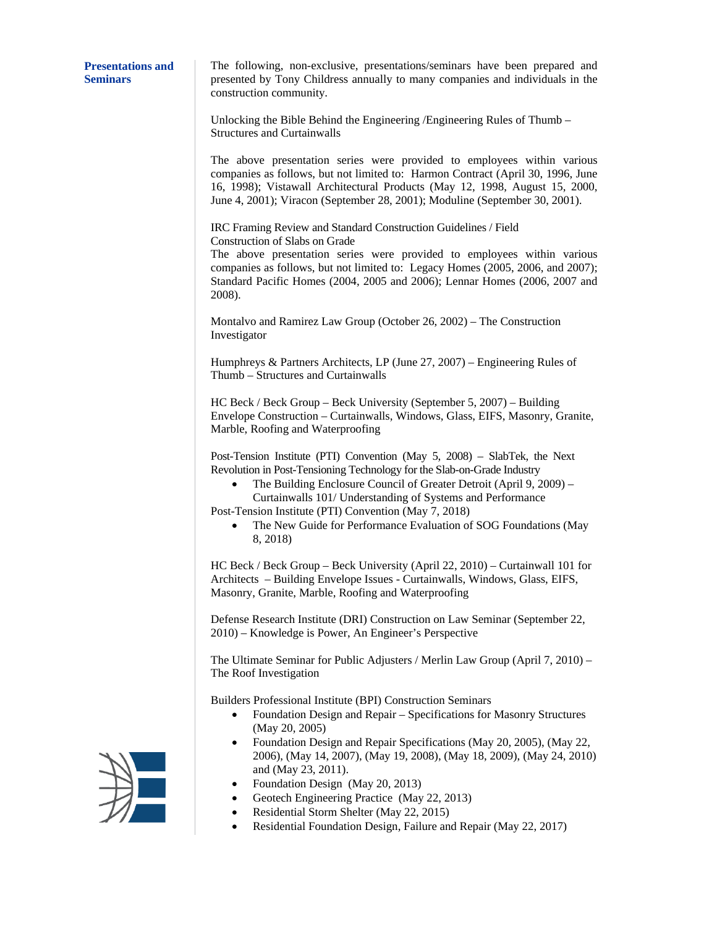#### **Presentations and Seminars**

The following, non-exclusive, presentations/seminars have been prepared and presented by Tony Childress annually to many companies and individuals in the construction community.

Unlocking the Bible Behind the Engineering /Engineering Rules of Thumb – Structures and Curtainwalls

The above presentation series were provided to employees within various companies as follows, but not limited to: Harmon Contract (April 30, 1996, June 16, 1998); Vistawall Architectural Products (May 12, 1998, August 15, 2000, June 4, 2001); Viracon (September 28, 2001); Moduline (September 30, 2001).

IRC Framing Review and Standard Construction Guidelines / Field Construction of Slabs on Grade

The above presentation series were provided to employees within various companies as follows, but not limited to: Legacy Homes (2005, 2006, and 2007); Standard Pacific Homes (2004, 2005 and 2006); Lennar Homes (2006, 2007 and 2008).

Montalvo and Ramirez Law Group (October 26, 2002) – The Construction Investigator

Humphreys & Partners Architects, LP (June 27, 2007) – Engineering Rules of Thumb – Structures and Curtainwalls

HC Beck / Beck Group – Beck University (September 5, 2007) – Building Envelope Construction – Curtainwalls, Windows, Glass, EIFS, Masonry, Granite, Marble, Roofing and Waterproofing

Post-Tension Institute (PTI) Convention (May 5, 2008) – SlabTek, the Next Revolution in Post-Tensioning Technology for the Slab-on-Grade Industry

• The Building Enclosure Council of Greater Detroit (April 9, 2009) – Curtainwalls 101/ Understanding of Systems and Performance

Post-Tension Institute (PTI) Convention (May 7, 2018)

• The New Guide for Performance Evaluation of SOG Foundations (May 8, 2018)

HC Beck / Beck Group – Beck University (April 22, 2010) – Curtainwall 101 for Architects – Building Envelope Issues - Curtainwalls, Windows, Glass, EIFS, Masonry, Granite, Marble, Roofing and Waterproofing

Defense Research Institute (DRI) Construction on Law Seminar (September 22, 2010) – Knowledge is Power, An Engineer's Perspective

The Ultimate Seminar for Public Adjusters / Merlin Law Group (April 7, 2010) – The Roof Investigation

Builders Professional Institute (BPI) Construction Seminars

- Foundation Design and Repair Specifications for Masonry Structures (May 20, 2005)
- Foundation Design and Repair Specifications (May 20, 2005), (May 22, 2006), (May 14, 2007), (May 19, 2008), (May 18, 2009), (May 24, 2010) and (May 23, 2011).
- Foundation Design (May 20, 2013)
- Geotech Engineering Practice (May 22, 2013)
- Residential Storm Shelter (May 22, 2015)
- Residential Foundation Design, Failure and Repair (May 22, 2017)

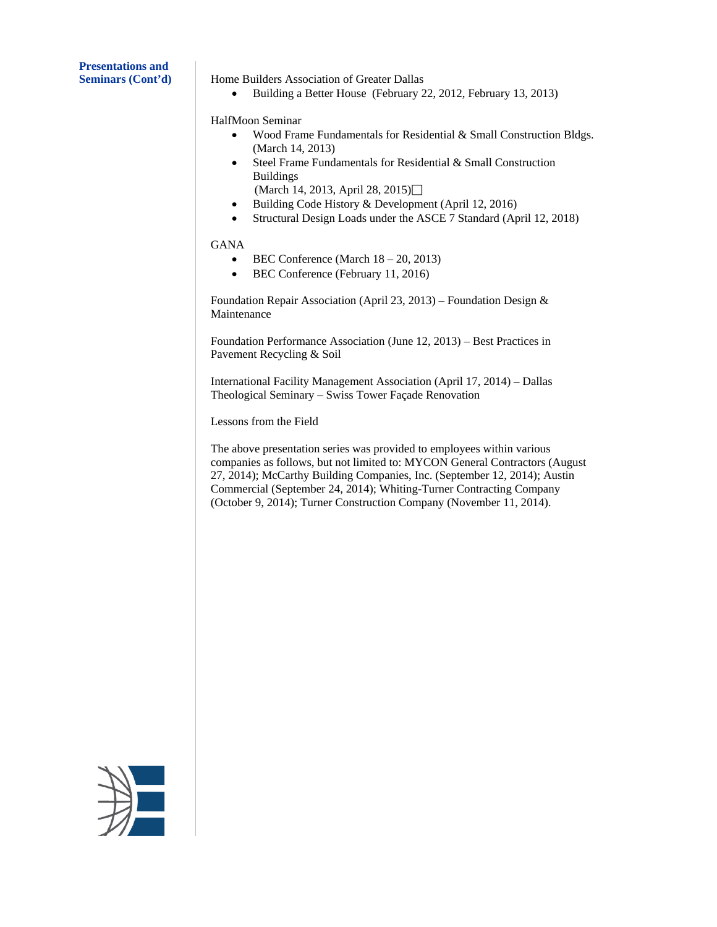**Presentations and**

**Seminars (Cont'd)** Home Builders Association of Greater Dallas

• Building a Better House (February 22, 2012, February 13, 2013)

HalfMoon Seminar

- Wood Frame Fundamentals for Residential & Small Construction Bldgs. (March 14, 2013)
- Steel Frame Fundamentals for Residential & Small Construction Buildings
- (March 14, 2013, April 28, 2015)
- Building Code History & Development (April 12, 2016)
- Structural Design Loads under the ASCE 7 Standard (April 12, 2018)

# GANA

- BEC Conference (March 18 20, 2013)
- BEC Conference (February 11, 2016)

Foundation Repair Association (April 23, 2013) – Foundation Design & Maintenance

Foundation Performance Association (June 12, 2013) – Best Practices in Pavement Recycling & Soil

International Facility Management Association (April 17, 2014) – Dallas Theological Seminary – Swiss Tower Façade Renovation

Lessons from the Field

The above presentation series was provided to employees within various companies as follows, but not limited to: MYCON General Contractors (August 27, 2014); McCarthy Building Companies, Inc. (September 12, 2014); Austin Commercial (September 24, 2014); Whiting-Turner Contracting Company (October 9, 2014); Turner Construction Company (November 11, 2014).